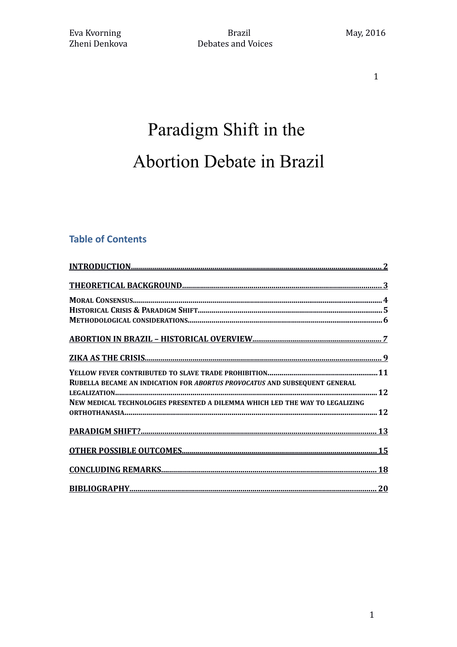$\mathbf{1}$ 

# Paradigm Shift in the Abortion Debate in Brazil

## **Table of Contents**

| RUBELLA BECAME AN INDICATION FOR ABORTUS PROVOCATUS AND SUBSEQUENT GENERAL   |
|------------------------------------------------------------------------------|
| NEW MEDICAL TECHNOLOGIES PRESENTED A DILEMMA WHICH LED THE WAY TO LEGALIZING |
|                                                                              |
|                                                                              |
|                                                                              |
|                                                                              |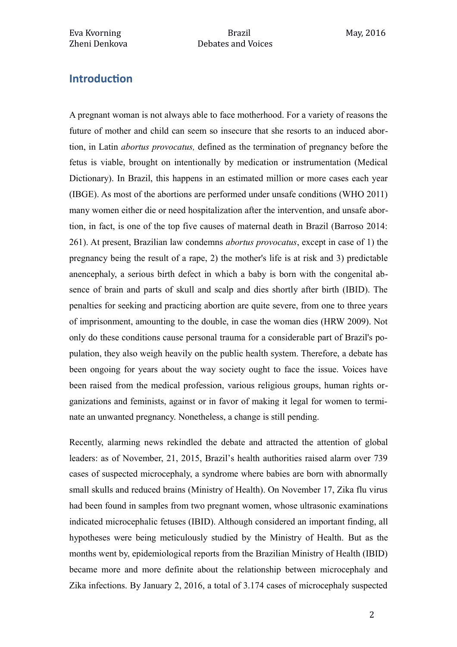## **Introduction**

A pregnant woman is not always able to face motherhood. For a variety of reasons the future of mother and child can seem so insecure that she resorts to an induced abortion, in Latin *abortus provocatus,* defined as the termination of pregnancy before the fetus is viable, brought on intentionally by medication or instrumentation (Medical Dictionary). In Brazil, this happens in an estimated million or more cases each year (IBGE). As most of the abortions are performed under unsafe conditions (WHO 2011) many women either die or need hospitalization after the intervention, and unsafe abortion, in fact, is one of the top five causes of maternal death in Brazil (Barroso 2014: 261). At present, Brazilian law condemns *abortus provocatus*, except in case of 1) the pregnancy being the result of a rape, 2) the mother's life is at risk and 3) predictable anencephaly, a serious birth defect in which a baby is born with the congenital absence of brain and parts of skull and scalp and dies shortly after birth (IBID). The penalties for seeking and practicing abortion are quite severe, from one to three years of imprisonment, amounting to the double, in case the woman dies (HRW 2009). Not only do these conditions cause personal trauma for a considerable part of Brazil's population, they also weigh heavily on the public health system. Therefore, a debate has been ongoing for years about the way society ought to face the issue. Voices have been raised from the medical profession, various religious groups, human rights organizations and feminists, against or in favor of making it legal for women to terminate an unwanted pregnancy. Nonetheless, a change is still pending.

Recently, alarming news rekindled the debate and attracted the attention of global leaders: as of November, 21, 2015, Brazil's health authorities raised alarm over 739 cases of suspected microcephaly, a syndrome where babies are born with abnormally small skulls and reduced brains (Ministry of Health). On November 17, Zika flu virus had been found in samples from two pregnant women, whose ultrasonic examinations indicated microcephalic fetuses (IBID). Although considered an important finding, all hypotheses were being meticulously studied by the Ministry of Health. But as the months went by, epidemiological reports from the Brazilian Ministry of Health (IBID) became more and more definite about the relationship between microcephaly and Zika infections. By January 2, 2016, a total of 3.174 cases of microcephaly suspected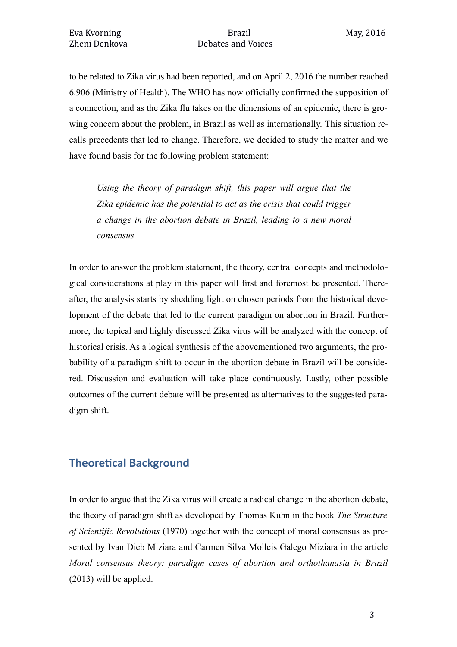to be related to Zika virus had been reported, and on April 2, 2016 the number reached 6.906 (Ministry of Health). The WHO has now officially confirmed the supposition of a connection, and as the Zika flu takes on the dimensions of an epidemic, there is growing concern about the problem, in Brazil as well as internationally. This situation recalls precedents that led to change. Therefore, we decided to study the matter and we have found basis for the following problem statement:

*Using the theory of paradigm shift, this paper will argue that the Zika epidemic has the potential to act as the crisis that could trigger a change in the abortion debate in Brazil, leading to a new moral consensus.*

In order to answer the problem statement, the theory, central concepts and methodological considerations at play in this paper will first and foremost be presented. Thereafter, the analysis starts by shedding light on chosen periods from the historical development of the debate that led to the current paradigm on abortion in Brazil. Furthermore, the topical and highly discussed Zika virus will be analyzed with the concept of historical crisis. As a logical synthesis of the abovementioned two arguments, the probability of a paradigm shift to occur in the abortion debate in Brazil will be considered. Discussion and evaluation will take place continuously. Lastly, other possible outcomes of the current debate will be presented as alternatives to the suggested paradigm shift.

## **Theoretical Background**

In order to argue that the Zika virus will create a radical change in the abortion debate, the theory of paradigm shift as developed by Thomas Kuhn in the book *The Structure of Scientific Revolutions* (1970) together with the concept of moral consensus as presented by Ivan Dieb Miziara and Carmen Silva Molleis Galego Miziara in the article *Moral consensus theory: paradigm cases of abortion and orthothanasia in Brazil* (2013) will be applied.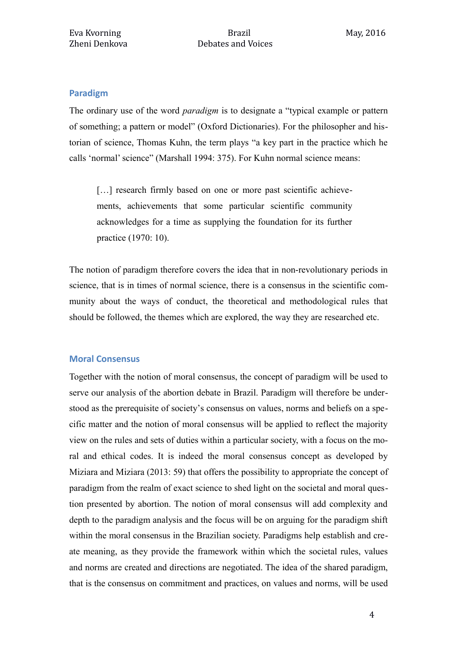#### **Paradigm**

The ordinary use of the word *paradigm* is to designate a "typical example or pattern of something; a pattern or model" (Oxford Dictionaries). For the philosopher and historian of science, Thomas Kuhn, the term plays "a key part in the practice which he calls 'normal' science" (Marshall 1994: 375). For Kuhn normal science means:

[...] research firmly based on one or more past scientific achievements, achievements that some particular scientific community acknowledges for a time as supplying the foundation for its further practice (1970: 10).

The notion of paradigm therefore covers the idea that in non-revolutionary periods in science, that is in times of normal science, there is a consensus in the scientific community about the ways of conduct, the theoretical and methodological rules that should be followed, the themes which are explored, the way they are researched etc.

#### **Moral Consensus**

Together with the notion of moral consensus, the concept of paradigm will be used to serve our analysis of the abortion debate in Brazil. Paradigm will therefore be understood as the prerequisite of society's consensus on values, norms and beliefs on a specific matter and the notion of moral consensus will be applied to reflect the majority view on the rules and sets of duties within a particular society, with a focus on the moral and ethical codes. It is indeed the moral consensus concept as developed by Miziara and Miziara (2013: 59) that offers the possibility to appropriate the concept of paradigm from the realm of exact science to shed light on the societal and moral question presented by abortion. The notion of moral consensus will add complexity and depth to the paradigm analysis and the focus will be on arguing for the paradigm shift within the moral consensus in the Brazilian society. Paradigms help establish and create meaning, as they provide the framework within which the societal rules, values and norms are created and directions are negotiated. The idea of the shared paradigm, that is the consensus on commitment and practices, on values and norms, will be used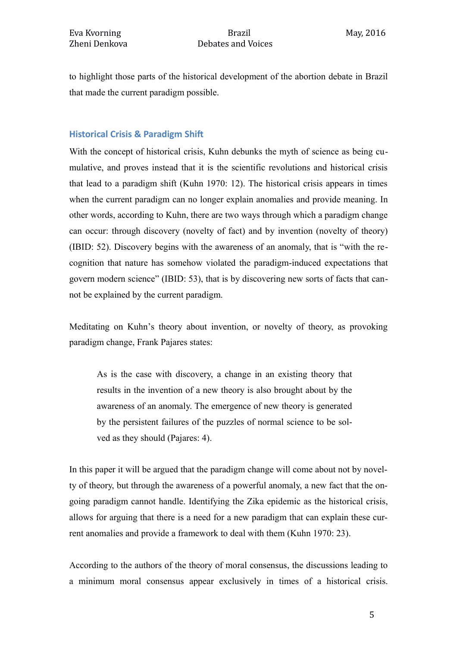to highlight those parts of the historical development of the abortion debate in Brazil that made the current paradigm possible.

#### **Historical Crisis & Paradigm Shif**

With the concept of historical crisis, Kuhn debunks the myth of science as being cumulative, and proves instead that it is the scientific revolutions and historical crisis that lead to a paradigm shift (Kuhn 1970: 12). The historical crisis appears in times when the current paradigm can no longer explain anomalies and provide meaning. In other words, according to Kuhn, there are two ways through which a paradigm change can occur: through discovery (novelty of fact) and by invention (novelty of theory) (IBID: 52). Discovery begins with the awareness of an anomaly, that is "with the recognition that nature has somehow violated the paradigm-induced expectations that govern modern science" (IBID: 53), that is by discovering new sorts of facts that cannot be explained by the current paradigm.

Meditating on Kuhn's theory about invention, or novelty of theory, as provoking paradigm change, Frank Pajares states:

As is the case with discovery, a change in an existing theory that results in the invention of a new theory is also brought about by the awareness of an anomaly. The emergence of new theory is generated by the persistent failures of the puzzles of normal science to be solved as they should (Pajares: 4).

In this paper it will be argued that the paradigm change will come about not by novelty of theory, but through the awareness of a powerful anomaly, a new fact that the ongoing paradigm cannot handle. Identifying the Zika epidemic as the historical crisis, allows for arguing that there is a need for a new paradigm that can explain these current anomalies and provide a framework to deal with them (Kuhn 1970: 23).

According to the authors of the theory of moral consensus, the discussions leading to a minimum moral consensus appear exclusively in times of a historical crisis.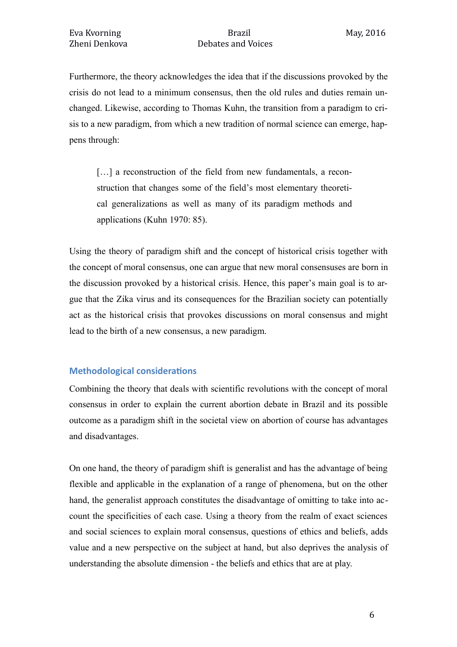Furthermore, the theory acknowledges the idea that if the discussions provoked by the crisis do not lead to a minimum consensus, then the old rules and duties remain unchanged. Likewise, according to Thomas Kuhn, the transition from a paradigm to crisis to a new paradigm, from which a new tradition of normal science can emerge, happens through:

[...] a reconstruction of the field from new fundamentals, a reconstruction that changes some of the field's most elementary theoretical generalizations as well as many of its paradigm methods and applications (Kuhn 1970: 85).

Using the theory of paradigm shift and the concept of historical crisis together with the concept of moral consensus, one can argue that new moral consensuses are born in the discussion provoked by a historical crisis. Hence, this paper's main goal is to argue that the Zika virus and its consequences for the Brazilian society can potentially act as the historical crisis that provokes discussions on moral consensus and might lead to the birth of a new consensus, a new paradigm.

#### **Methodological considerations**

Combining the theory that deals with scientific revolutions with the concept of moral consensus in order to explain the current abortion debate in Brazil and its possible outcome as a paradigm shift in the societal view on abortion of course has advantages and disadvantages.

On one hand, the theory of paradigm shift is generalist and has the advantage of being flexible and applicable in the explanation of a range of phenomena, but on the other hand, the generalist approach constitutes the disadvantage of omitting to take into account the specificities of each case. Using a theory from the realm of exact sciences and social sciences to explain moral consensus, questions of ethics and beliefs, adds value and a new perspective on the subject at hand, but also deprives the analysis of understanding the absolute dimension - the beliefs and ethics that are at play.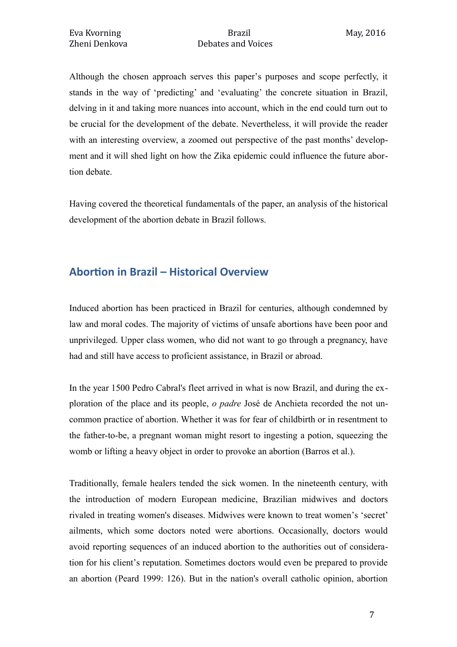Although the chosen approach serves this paper's purposes and scope perfectly, it stands in the way of 'predicting' and 'evaluating' the concrete situation in Brazil, delving in it and taking more nuances into account, which in the end could turn out to be crucial for the development of the debate. Nevertheless, it will provide the reader with an interesting overview, a zoomed out perspective of the past months' development and it will shed light on how the Zika epidemic could influence the future abortion debate.

Having covered the theoretical fundamentals of the paper, an analysis of the historical development of the abortion debate in Brazil follows.

## **Abortion in Brazil – Historical Overview**

Induced abortion has been practiced in Brazil for centuries, although condemned by law and moral codes. The majority of victims of unsafe abortions have been poor and unprivileged. Upper class women, who did not want to go through a pregnancy, have had and still have access to proficient assistance, in Brazil or abroad.

In the year 1500 Pedro Cabral's fleet arrived in what is now Brazil, and during the exploration of the place and its people, *o padre* José de Anchieta recorded the not uncommon practice of abortion. Whether it was for fear of childbirth or in resentment to the father-to-be, a pregnant woman might resort to ingesting a potion, squeezing the womb or lifting a heavy object in order to provoke an abortion (Barros et al.).

Traditionally, female healers tended the sick women. In the nineteenth century, with the introduction of modern European medicine, Brazilian midwives and doctors rivaled in treating women's diseases. Midwives were known to treat women's 'secret' ailments, which some doctors noted were abortions. Occasionally, doctors would avoid reporting sequences of an induced abortion to the authorities out of consideration for his client's reputation. Sometimes doctors would even be prepared to provide an abortion (Peard 1999: 126). But in the nation's overall catholic opinion, abortion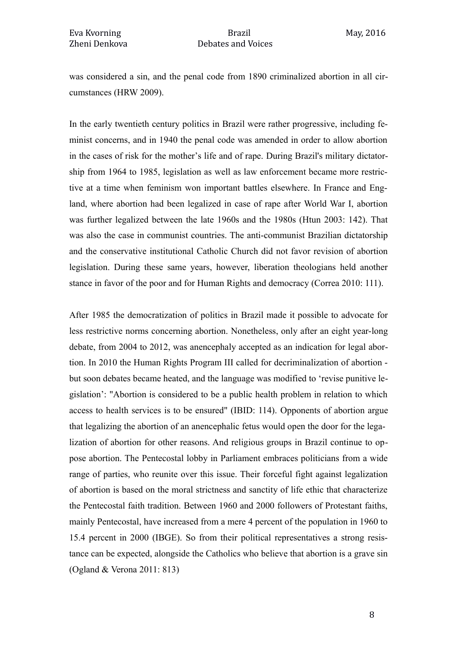was considered a sin, and the penal code from 1890 criminalized abortion in all circumstances (HRW 2009).

In the early twentieth century politics in Brazil were rather progressive, including feminist concerns, and in 1940 the penal code was amended in order to allow abortion in the cases of risk for the mother's life and of rape. During Brazil's military dictatorship from 1964 to 1985, legislation as well as law enforcement became more restrictive at a time when feminism won important battles elsewhere. In France and England, where abortion had been legalized in case of rape after World War I, abortion was further legalized between the late 1960s and the 1980s (Htun 2003: 142). That was also the case in communist countries. The anti-communist Brazilian dictatorship and the conservative institutional Catholic Church did not favor revision of abortion legislation. During these same years, however, liberation theologians held another stance in favor of the poor and for Human Rights and democracy (Correa 2010: 111).

After 1985 the democratization of politics in Brazil made it possible to advocate for less restrictive norms concerning abortion. Nonetheless, only after an eight year-long debate, from 2004 to 2012, was anencephaly accepted as an indication for legal abortion. In 2010 the Human Rights Program III called for decriminalization of abortion but soon debates became heated, and the language was modified to 'revise punitive legislation': "Abortion is considered to be a public health problem in relation to which access to health services is to be ensured" (IBID: 114). Opponents of abortion argue that legalizing the abortion of an anencephalic fetus would open the door for the legalization of abortion for other reasons. And religious groups in Brazil continue to oppose abortion. The Pentecostal lobby in Parliament embraces politicians from a wide range of parties, who reunite over this issue. Their forceful fight against legalization of abortion is based on the moral strictness and sanctity of life ethic that characterize the Pentecostal faith tradition. Between 1960 and 2000 followers of Protestant faiths, mainly Pentecostal, have increased from a mere 4 percent of the population in 1960 to 15.4 percent in 2000 (IBGE). So from their political representatives a strong resistance can be expected, alongside the Catholics who believe that abortion is a grave sin (Ogland & Verona 2011: 813)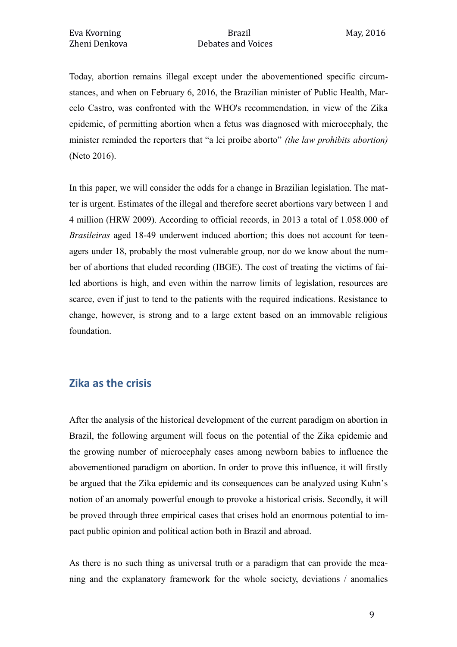Today, abortion remains illegal except under the abovementioned specific circumstances, and when on February 6, 2016, the Brazilian minister of Public Health, Marcelo Castro, was confronted with the WHO's recommendation, in view of the Zika epidemic, of permitting abortion when a fetus was diagnosed with microcephaly, the minister reminded the reporters that "a lei proíbe aborto" *(the law prohibits abortion)* (Neto 2016).

In this paper, we will consider the odds for a change in Brazilian legislation. The matter is urgent. Estimates of the illegal and therefore secret abortions vary between 1 and 4 million (HRW 2009). According to official records, in 2013 a total of 1.058.000 of *Brasileiras* aged 18-49 underwent induced abortion; this does not account for teenagers under 18, probably the most vulnerable group, nor do we know about the number of abortions that eluded recording (IBGE). The cost of treating the victims of failed abortions is high, and even within the narrow limits of legislation, resources are scarce, even if just to tend to the patients with the required indications. Resistance to change, however, is strong and to a large extent based on an immovable religious foundation.

## **Zika as the crisis**

After the analysis of the historical development of the current paradigm on abortion in Brazil, the following argument will focus on the potential of the Zika epidemic and the growing number of microcephaly cases among newborn babies to influence the abovementioned paradigm on abortion. In order to prove this influence, it will firstly be argued that the Zika epidemic and its consequences can be analyzed using Kuhn's notion of an anomaly powerful enough to provoke a historical crisis. Secondly, it will be proved through three empirical cases that crises hold an enormous potential to impact public opinion and political action both in Brazil and abroad.

As there is no such thing as universal truth or a paradigm that can provide the meaning and the explanatory framework for the whole society, deviations / anomalies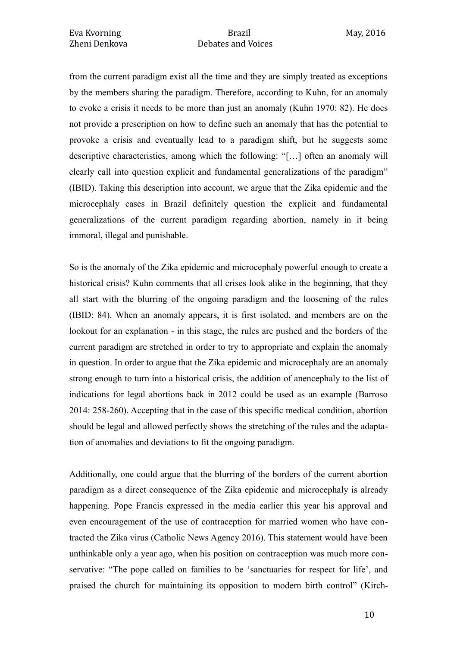from the current paradigm exist all the time and they are simply treated as exceptions by the members sharing the paradigm. Therefore, according to Kuhn, for an anomaly to evoke a crisis it needs to be more than just an anomaly (Kuhn 1970: 82). He does not provide a prescription on how to define such an anomaly that has the potential to provoke a crisis and eventually lead to a paradigm shift, but he suggests some descriptive characteristics, among which the following: "[…] often an anomaly will clearly call into question explicit and fundamental generalizations of the paradigm" (IBID). Taking this description into account, we argue that the Zika epidemic and the microcephaly cases in Brazil definitely question the explicit and fundamental generalizations of the current paradigm regarding abortion, namely in it being immoral, illegal and punishable.

So is the anomaly of the Zika epidemic and microcephaly powerful enough to create a historical crisis? Kuhn comments that all crises look alike in the beginning, that they all start with the blurring of the ongoing paradigm and the loosening of the rules (IBID: 84). When an anomaly appears, it is first isolated, and members are on the lookout for an explanation - in this stage, the rules are pushed and the borders of the current paradigm are stretched in order to try to appropriate and explain the anomaly in question. In order to argue that the Zika epidemic and microcephaly are an anomaly strong enough to turn into a historical crisis, the addition of anencephaly to the list of indications for legal abortions back in 2012 could be used as an example (Barroso 2014: 258-260). Accepting that in the case of this specific medical condition, abortion should be legal and allowed perfectly shows the stretching of the rules and the adaptation of anomalies and deviations to fit the ongoing paradigm.

Additionally, one could argue that the blurring of the borders of the current abortion paradigm as a direct consequence of the Zika epidemic and microcephaly is already happening. Pope Francis expressed in the media earlier this year his approval and even encouragement of the use of contraception for married women who have contracted the Zika virus (Catholic News Agency 2016). This statement would have been unthinkable only a year ago, when his position on contraception was much more conservative: "The pope called on families to be 'sanctuaries for respect for life', and praised the church for maintaining its opposition to modern birth control" (Kirch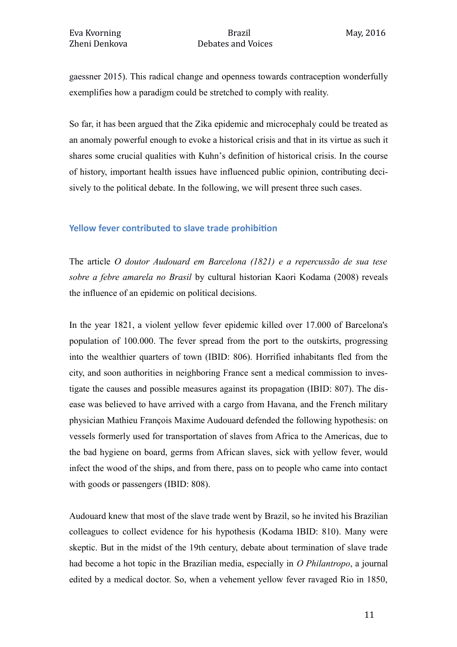gaessner 2015). This radical change and openness towards contraception wonderfully exemplifies how a paradigm could be stretched to comply with reality.

So far, it has been argued that the Zika epidemic and microcephaly could be treated as an anomaly powerful enough to evoke a historical crisis and that in its virtue as such it shares some crucial qualities with Kuhn's definition of historical crisis. In the course of history, important health issues have influenced public opinion, contributing decisively to the political debate. In the following, we will present three such cases.

#### **Yellow fever contributed to slave trade prohibition**

The article *O doutor Audouard em Barcelona (1821) e a repercussão de sua tese sobre a febre amarela no Brasil* by cultural historian Kaori Kodama (2008) reveals the influence of an epidemic on political decisions.

In the year 1821, a violent yellow fever epidemic killed over 17.000 of Barcelona's population of 100.000. The fever spread from the port to the outskirts, progressing into the wealthier quarters of town (IBID: 806). Horrified inhabitants fled from the city, and soon authorities in neighboring France sent a medical commission to investigate the causes and possible measures against its propagation (IBID: 807). The disease was believed to have arrived with a cargo from Havana, and the French military physician Mathieu François Maxime Audouard defended the following hypothesis: on vessels formerly used for transportation of slaves from Africa to the Americas, due to the bad hygiene on board, germs from African slaves, sick with yellow fever, would infect the wood of the ships, and from there, pass on to people who came into contact with goods or passengers (IBID: 808).

Audouard knew that most of the slave trade went by Brazil, so he invited his Brazilian colleagues to collect evidence for his hypothesis (Kodama IBID: 810). Many were skeptic. But in the midst of the 19th century, debate about termination of slave trade had become a hot topic in the Brazilian media, especially in *O Philantropo*, a journal edited by a medical doctor. So, when a vehement yellow fever ravaged Rio in 1850,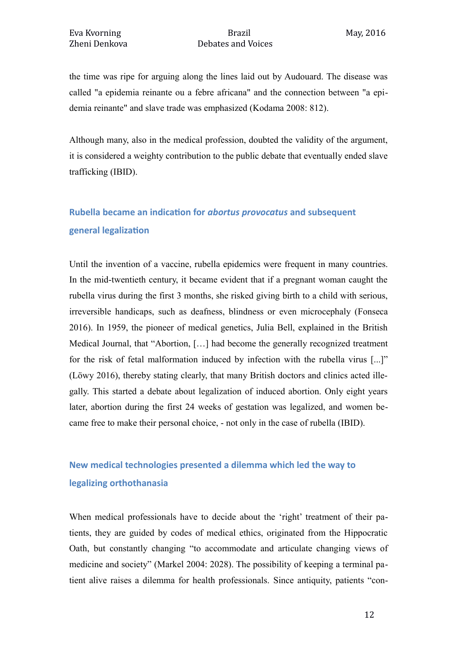## Zheni Denkova Debates and Voices

the time was ripe for arguing along the lines laid out by Audouard. The disease was called "a epidemia reinante ou a febre africana" and the connection between "a epidemia reinante" and slave trade was emphasized (Kodama 2008: 812).

Although many, also in the medical profession, doubted the validity of the argument, it is considered a weighty contribution to the public debate that eventually ended slave trafficking (IBID).

## **Rubella became an indication for** *abortus provocatus* **and subsequent general legalization**

Until the invention of a vaccine, rubella epidemics were frequent in many countries. In the mid-twentieth century, it became evident that if a pregnant woman caught the rubella virus during the first 3 months, she risked giving birth to a child with serious, irreversible handicaps, such as deafness, blindness or even microcephaly (Fonseca 2016). In 1959, the pioneer of medical genetics, Julia Bell, explained in the British Medical Journal, that "Abortion, […] had become the generally recognized treatment for the risk of fetal malformation induced by infection with the rubella virus [...]" (Löwy 2016), thereby stating clearly, that many British doctors and clinics acted illegally. This started a debate about legalization of induced abortion. Only eight years later, abortion during the first 24 weeks of gestation was legalized, and women became free to make their personal choice, - not only in the case of rubella (IBID).

## **New medical technologies presented a dilemma which led the way to legalizing orthothanasia**

When medical professionals have to decide about the 'right' treatment of their patients, they are guided by codes of medical ethics, originated from the Hippocratic Oath, but constantly changing "to accommodate and articulate changing views of medicine and society" (Markel 2004: 2028). The possibility of keeping a terminal patient alive raises a dilemma for health professionals. Since antiquity, patients "con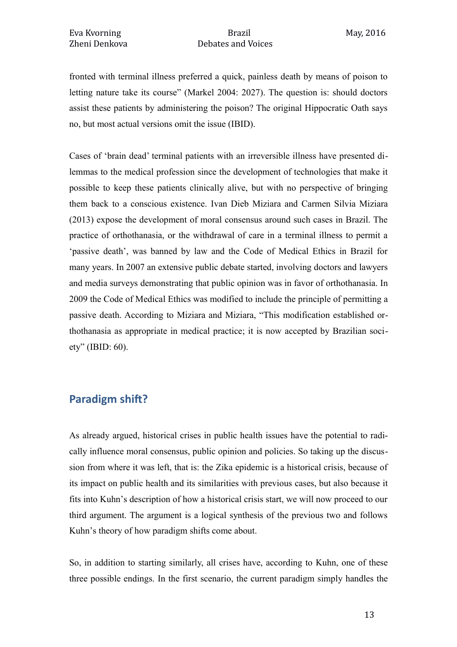fronted with terminal illness preferred a quick, painless death by means of poison to letting nature take its course" (Markel 2004: 2027). The question is: should doctors assist these patients by administering the poison? The original Hippocratic Oath says no, but most actual versions omit the issue (IBID).

Cases of 'brain dead' terminal patients with an irreversible illness have presented dilemmas to the medical profession since the development of technologies that make it possible to keep these patients clinically alive, but with no perspective of bringing them back to a conscious existence. Ivan Dieb Miziara and Carmen Silvia Miziara (2013) expose the development of moral consensus around such cases in Brazil. The practice of orthothanasia, or the withdrawal of care in a terminal illness to permit a 'passive death', was banned by law and the Code of Medical Ethics in Brazil for many years. In 2007 an extensive public debate started, involving doctors and lawyers and media surveys demonstrating that public opinion was in favor of orthothanasia. In 2009 the Code of Medical Ethics was modified to include the principle of permitting a passive death. According to Miziara and Miziara, "This modification established orthothanasia as appropriate in medical practice; it is now accepted by Brazilian society" (IBID: 60).

## **Paradigm shif?**

As already argued, historical crises in public health issues have the potential to radically influence moral consensus, public opinion and policies. So taking up the discussion from where it was left, that is: the Zika epidemic is a historical crisis, because of its impact on public health and its similarities with previous cases, but also because it fits into Kuhn's description of how a historical crisis start, we will now proceed to our third argument. The argument is a logical synthesis of the previous two and follows Kuhn's theory of how paradigm shifts come about.

So, in addition to starting similarly, all crises have, according to Kuhn, one of these three possible endings. In the first scenario, the current paradigm simply handles the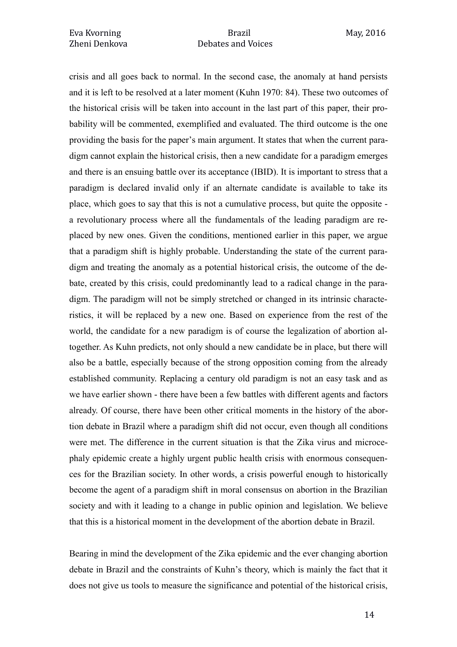crisis and all goes back to normal. In the second case, the anomaly at hand persists and it is left to be resolved at a later moment (Kuhn 1970: 84). These two outcomes of the historical crisis will be taken into account in the last part of this paper, their probability will be commented, exemplified and evaluated. The third outcome is the one providing the basis for the paper's main argument. It states that when the current paradigm cannot explain the historical crisis, then a new candidate for a paradigm emerges and there is an ensuing battle over its acceptance (IBID). It is important to stress that a paradigm is declared invalid only if an alternate candidate is available to take its place, which goes to say that this is not a cumulative process, but quite the opposite a revolutionary process where all the fundamentals of the leading paradigm are replaced by new ones. Given the conditions, mentioned earlier in this paper, we argue that a paradigm shift is highly probable. Understanding the state of the current paradigm and treating the anomaly as a potential historical crisis, the outcome of the debate, created by this crisis, could predominantly lead to a radical change in the paradigm. The paradigm will not be simply stretched or changed in its intrinsic characteristics, it will be replaced by a new one. Based on experience from the rest of the world, the candidate for a new paradigm is of course the legalization of abortion altogether. As Kuhn predicts, not only should a new candidate be in place, but there will also be a battle, especially because of the strong opposition coming from the already established community. Replacing a century old paradigm is not an easy task and as we have earlier shown - there have been a few battles with different agents and factors already. Of course, there have been other critical moments in the history of the abortion debate in Brazil where a paradigm shift did not occur, even though all conditions were met. The difference in the current situation is that the Zika virus and microcephaly epidemic create a highly urgent public health crisis with enormous consequences for the Brazilian society. In other words, a crisis powerful enough to historically become the agent of a paradigm shift in moral consensus on abortion in the Brazilian society and with it leading to a change in public opinion and legislation. We believe that this is a historical moment in the development of the abortion debate in Brazil.

Bearing in mind the development of the Zika epidemic and the ever changing abortion debate in Brazil and the constraints of Kuhn's theory, which is mainly the fact that it does not give us tools to measure the significance and potential of the historical crisis,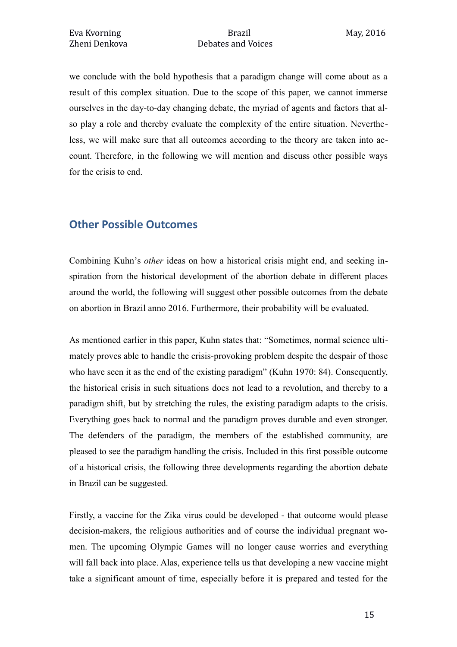we conclude with the bold hypothesis that a paradigm change will come about as a result of this complex situation. Due to the scope of this paper, we cannot immerse ourselves in the day-to-day changing debate, the myriad of agents and factors that also play a role and thereby evaluate the complexity of the entire situation. Nevertheless, we will make sure that all outcomes according to the theory are taken into account. Therefore, in the following we will mention and discuss other possible ways for the crisis to end.

### **Other Possible Outcomes**

Combining Kuhn's *other* ideas on how a historical crisis might end, and seeking inspiration from the historical development of the abortion debate in different places around the world, the following will suggest other possible outcomes from the debate on abortion in Brazil anno 2016. Furthermore, their probability will be evaluated.

As mentioned earlier in this paper, Kuhn states that: "Sometimes, normal science ultimately proves able to handle the crisis-provoking problem despite the despair of those who have seen it as the end of the existing paradigm" (Kuhn 1970: 84). Consequently, the historical crisis in such situations does not lead to a revolution, and thereby to a paradigm shift, but by stretching the rules, the existing paradigm adapts to the crisis. Everything goes back to normal and the paradigm proves durable and even stronger. The defenders of the paradigm, the members of the established community, are pleased to see the paradigm handling the crisis. Included in this first possible outcome of a historical crisis, the following three developments regarding the abortion debate in Brazil can be suggested.

Firstly, a vaccine for the Zika virus could be developed - that outcome would please decision-makers, the religious authorities and of course the individual pregnant women. The upcoming Olympic Games will no longer cause worries and everything will fall back into place. Alas, experience tells us that developing a new vaccine might take a significant amount of time, especially before it is prepared and tested for the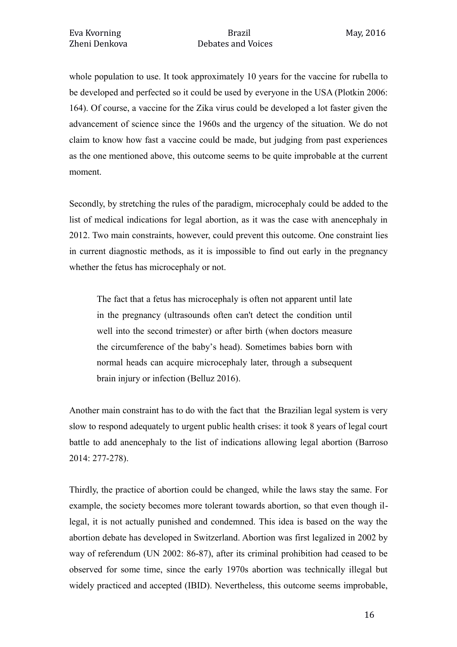whole population to use. It took approximately 10 years for the vaccine for rubella to be developed and perfected so it could be used by everyone in the USA (Plotkin 2006: 164). Of course, a vaccine for the Zika virus could be developed a lot faster given the advancement of science since the 1960s and the urgency of the situation. We do not claim to know how fast a vaccine could be made, but judging from past experiences as the one mentioned above, this outcome seems to be quite improbable at the current moment.

Secondly, by stretching the rules of the paradigm, microcephaly could be added to the list of medical indications for legal abortion, as it was the case with anencephaly in 2012. Two main constraints, however, could prevent this outcome. One constraint lies in current diagnostic methods, as it is impossible to find out early in the pregnancy whether the fetus has microcephaly or not.

The fact that a fetus has microcephaly is often not apparent until late in the pregnancy (ultrasounds often can't detect the condition until well into the second trimester) or after birth (when doctors measure the circumference of the baby's head). Sometimes babies born with normal heads can acquire microcephaly later, through a subsequent brain injury or infection (Belluz 2016).

Another main constraint has to do with the fact that the Brazilian legal system is very slow to respond adequately to urgent public health crises: it took 8 years of legal court battle to add anencephaly to the list of indications allowing legal abortion (Barroso 2014: 277-278).

Thirdly, the practice of abortion could be changed, while the laws stay the same. For example, the society becomes more tolerant towards abortion, so that even though illegal, it is not actually punished and condemned. This idea is based on the way the abortion debate has developed in Switzerland. Abortion was first legalized in 2002 by way of referendum (UN 2002: 86-87), after its criminal prohibition had ceased to be observed for some time, since the early 1970s abortion was technically illegal but widely practiced and accepted (IBID). Nevertheless, this outcome seems improbable,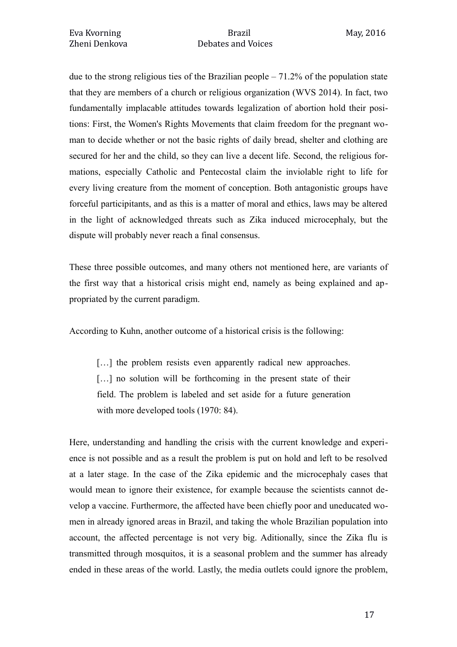due to the strong religious ties of the Brazilian people  $-71.2\%$  of the population state that they are members of a church or religious organization (WVS 2014). In fact, two fundamentally implacable attitudes towards legalization of abortion hold their positions: First, the Women's Rights Movements that claim freedom for the pregnant woman to decide whether or not the basic rights of daily bread, shelter and clothing are secured for her and the child, so they can live a decent life. Second, the religious formations, especially Catholic and Pentecostal claim the inviolable right to life for every living creature from the moment of conception. Both antagonistic groups have forceful participitants, and as this is a matter of moral and ethics, laws may be altered in the light of acknowledged threats such as Zika induced microcephaly, but the dispute will probably never reach a final consensus.

These three possible outcomes, and many others not mentioned here, are variants of the first way that a historical crisis might end, namely as being explained and appropriated by the current paradigm.

According to Kuhn, another outcome of a historical crisis is the following:

[...] the problem resists even apparently radical new approaches. [...] no solution will be forthcoming in the present state of their field. The problem is labeled and set aside for a future generation with more developed tools (1970: 84).

Here, understanding and handling the crisis with the current knowledge and experience is not possible and as a result the problem is put on hold and left to be resolved at a later stage. In the case of the Zika epidemic and the microcephaly cases that would mean to ignore their existence, for example because the scientists cannot develop a vaccine. Furthermore, the affected have been chiefly poor and uneducated women in already ignored areas in Brazil, and taking the whole Brazilian population into account, the affected percentage is not very big. Aditionally, since the Zika flu is transmitted through mosquitos, it is a seasonal problem and the summer has already ended in these areas of the world. Lastly, the media outlets could ignore the problem,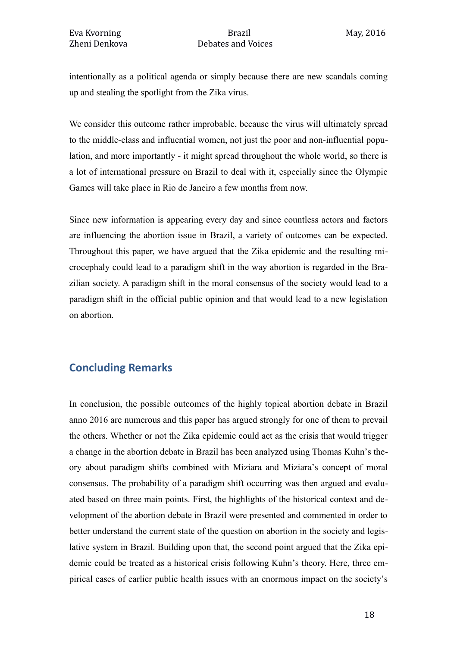intentionally as a political agenda or simply because there are new scandals coming up and stealing the spotlight from the Zika virus.

We consider this outcome rather improbable, because the virus will ultimately spread to the middle-class and influential women, not just the poor and non-influential population, and more importantly - it might spread throughout the whole world, so there is a lot of international pressure on Brazil to deal with it, especially since the Olympic Games will take place in Rio de Janeiro a few months from now.

Since new information is appearing every day and since countless actors and factors are influencing the abortion issue in Brazil, a variety of outcomes can be expected. Throughout this paper, we have argued that the Zika epidemic and the resulting microcephaly could lead to a paradigm shift in the way abortion is regarded in the Brazilian society. A paradigm shift in the moral consensus of the society would lead to a paradigm shift in the official public opinion and that would lead to a new legislation on abortion.

## **Concluding Remarks**

In conclusion, the possible outcomes of the highly topical abortion debate in Brazil anno 2016 are numerous and this paper has argued strongly for one of them to prevail the others. Whether or not the Zika epidemic could act as the crisis that would trigger a change in the abortion debate in Brazil has been analyzed using Thomas Kuhn's theory about paradigm shifts combined with Miziara and Miziara's concept of moral consensus. The probability of a paradigm shift occurring was then argued and evaluated based on three main points. First, the highlights of the historical context and development of the abortion debate in Brazil were presented and commented in order to better understand the current state of the question on abortion in the society and legislative system in Brazil. Building upon that, the second point argued that the Zika epidemic could be treated as a historical crisis following Kuhn's theory. Here, three empirical cases of earlier public health issues with an enormous impact on the society's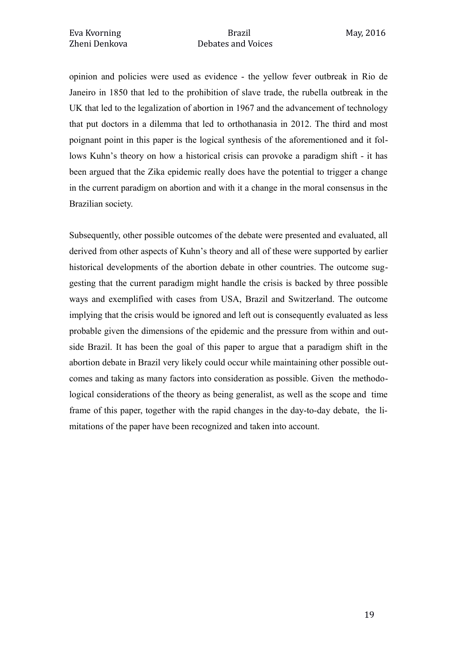#### Eva Kvorning Brazil May, 2016 Zheni Denkova Debates and Voices

opinion and policies were used as evidence - the yellow fever outbreak in Rio de Janeiro in 1850 that led to the prohibition of slave trade, the rubella outbreak in the UK that led to the legalization of abortion in 1967 and the advancement of technology that put doctors in a dilemma that led to orthothanasia in 2012. The third and most poignant point in this paper is the logical synthesis of the aforementioned and it follows Kuhn's theory on how a historical crisis can provoke a paradigm shift - it has been argued that the Zika epidemic really does have the potential to trigger a change in the current paradigm on abortion and with it a change in the moral consensus in the Brazilian society.

Subsequently, other possible outcomes of the debate were presented and evaluated, all derived from other aspects of Kuhn's theory and all of these were supported by earlier historical developments of the abortion debate in other countries. The outcome suggesting that the current paradigm might handle the crisis is backed by three possible ways and exemplified with cases from USA, Brazil and Switzerland. The outcome implying that the crisis would be ignored and left out is consequently evaluated as less probable given the dimensions of the epidemic and the pressure from within and outside Brazil. It has been the goal of this paper to argue that a paradigm shift in the abortion debate in Brazil very likely could occur while maintaining other possible outcomes and taking as many factors into consideration as possible. Given the methodological considerations of the theory as being generalist, as well as the scope and time frame of this paper, together with the rapid changes in the day-to-day debate, the limitations of the paper have been recognized and taken into account.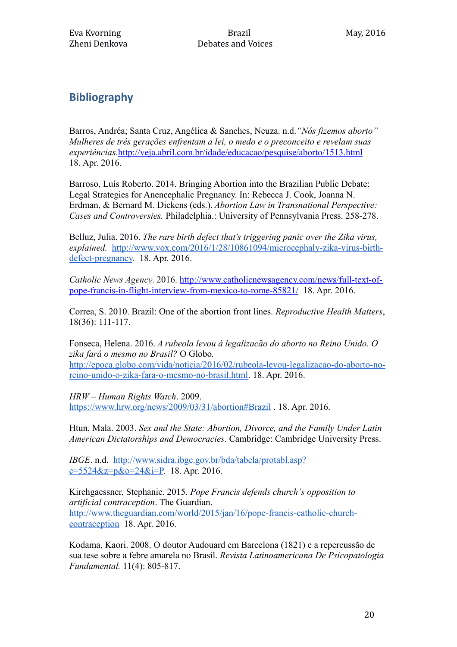## **Bibliography**

Barros, Andréa; Santa Cruz, Angélica & Sanches, Neuza. n.d.*"Nós fizemos aborto" Mulheres de três gerações enfrentam a lei, o medo e o preconceito e revelam suas experiências.*<http://veja.abril.com.br/idade/educacao/pesquise/aborto/1513.html> 18. Apr. 2016.

Barroso, Luís Roberto. 2014. Bringing Abortion into the Brazilian Public Debate: Legal Strategies for Anencephalic Pregnancy. In: Rebecca J. Cook, Joanna N. Erdman, & Bernard M. Dickens (eds.). *Abortion Law in Transnational Perspective: Cases and Controversies.* Philadelphia.: University of Pennsylvania Press. 258-278.

Belluz, Julia. 2016. *The rare birth defect that's triggering panic over the Zika virus, explained.* [http://www.vox.com/2016/1/28/10861094/microcephaly-zika-virus-birth](http://www.vox.com/2016/1/28/10861094/microcephaly-zika-virus-birth-defect-pregnancy)[defect-pregnancy](http://www.vox.com/2016/1/28/10861094/microcephaly-zika-virus-birth-defect-pregnancy)*.* 18. Apr. 2016.

*Catholic News Agency*. 2016. [http://www.catholicnewsagency.com/news/full-text-of](http://www.catholicnewsagency.com/news/full-text-of-pope-francis-in-flight-interview-from-mexico-to-rome-85821/)[pope-francis-in-flight-interview-from-mexico-to-rome-85821/](http://www.catholicnewsagency.com/news/full-text-of-pope-francis-in-flight-interview-from-mexico-to-rome-85821/) 18. Apr. 2016.

Correa, S. 2010. Brazil: One of the abortion front lines. *Reproductive Health Matters*, 18(36): 111-117.

Fonseca, Helena. 2016. *A rubeola levou à legalizacão do aborto no Reino Unido. O zika fará o mesmo no Brasil?* O Globo*.* 

[http://epoca.globo.com/vida/noticia/2016/02/rubeola-levou-legalizacao-do-aborto-no](http://epoca.globo.com/vida/noticia/2016/02/rubeola-levou-legalizacao-do-aborto-no-reino-unido-o-zika-fara-o-mesmo-no-brasil.html)[reino-unido-o-zika-fara-o-mesmo-no-brasil.html.](http://epoca.globo.com/vida/noticia/2016/02/rubeola-levou-legalizacao-do-aborto-no-reino-unido-o-zika-fara-o-mesmo-no-brasil.html) 18. Apr. 2016.

*HRW – Human Rights Watch*. 2009. <https://www.hrw.org/news/2009/03/31/abortion#Brazil>. 18. Apr. 2016.

Htun, Mala. 2003. *Sex and the State: Abortion, Divorce, and the Family Under Latin American Dictatorships and Democracies*. Cambridge: Cambridge University Press.

*IBGE*. n.d. [http://www.sidra.ibge.gov.br/bda/tabela/protabl.asp?](http://www.sidra.ibge.gov.br/bda/tabela/protabl.asp?c=5524&z=p&o=24&i=P)  $c=5524&z=p&c=24&i=P.$  18. Apr. 2016.

Kirchgaessner, Stephanie. 2015. *Pope Francis defends church's opposition to artificial contraception*. The Guardian. [http://www.theguardian.com/world/2015/jan/16/pope-francis-catholic-church](http://www.theguardian.com/world/2015/jan/16/pope-francis-catholic-church-contraception)[contraception](http://www.theguardian.com/world/2015/jan/16/pope-francis-catholic-church-contraception) 18. Apr. 2016.

Kodama, Kaori. 2008. O doutor Audouard em Barcelona (1821) e a repercussão de sua tese sobre a febre amarela no Brasil. *Revista Latinoamericana De Psicopatologia Fundamental.* 11(4): 805-817.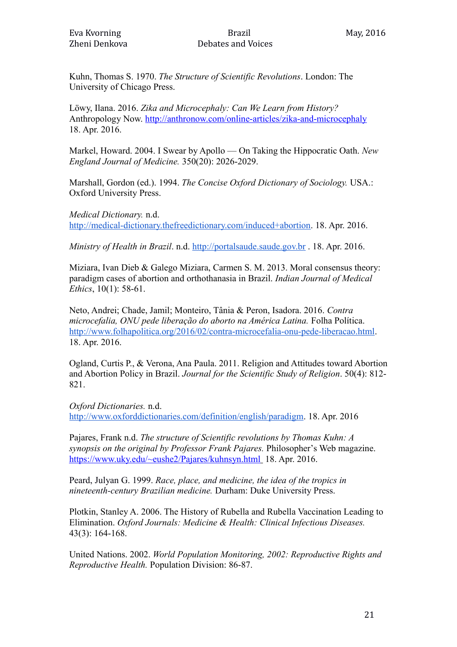Kuhn, Thomas S. 1970. *The Structure of Scientific Revolutions*. London: The University of Chicago Press.

Löwy, Ilana. 2016. *Zika and Microcephaly: Can We Learn from History?* Anthropology Now. [http://anthronow.com/online-articles/zika-and-microcephaly](http://anthronow.com/online-articles/zika-and-microcephalyhttp://anthronow.com/online-articles/zika-and-microcephaly) 18. Apr. 2016.

Markel, Howard. 2004. I Swear by Apollo — On Taking the Hippocratic Oath. *New England Journal of Medicine.* 350(20): 2026-2029.

Marshall, Gordon (ed.). 1994. *The Concise Oxford Dictionary of Sociology.* USA.: Oxford University Press.

*Medical Dictionary.* n.d. [http://medical-dictionary.thefreedictionary.com/induced+abortion.](http://medical-dictionary.thefreedictionary.com/induced+abortion) 18. Apr. 2016.

*Ministry of Health in Brazil*. n.d. [http://portalsaude.saude.gov.br](http://portalsaude.saude.gov.br/) . 18. Apr. 2016.

Miziara, Ivan Dieb & Galego Miziara, Carmen S. M. 2013. Moral consensus theory: paradigm cases of abortion and orthothanasia in Brazil. *Indian Journal of Medical Ethics*, 10(1): 58-61.

Neto, Andrei; Chade, Jamil; Monteiro, Tânia & Peron, Isadora. 2016. *Contra microcefalia, ONU pede liberação do aborto na América Latina.* Folha Política. [http://www.folhapolitica.org/2016/02/contra-microcefalia-onu-pede-liberacao.html.](http://www.folhapolitica.org/2016/02/contra-microcefalia-onu-pede-liberacao.html) 18. Apr. 2016.

Ogland, Curtis P., & Verona, Ana Paula. 2011. Religion and Attitudes toward Abortion and Abortion Policy in Brazil. *Journal for the Scientific Study of Religion*. 50(4): 812- 821.

*Oxford Dictionaries.* n.d. [http://www.oxforddictionaries.com/definition/english/paradigm.](http://www.oxforddictionaries.com/definition/english/paradigm) 18. Apr. 2016

Pajares, Frank n.d. *The structure of Scientific revolutions by Thomas Kuhn: A synopsis on the original by Professor Frank Pajares.* Philosopher's Web magazine. <https://www.uky.edu/~eushe2/Pajares/kuhnsyn.html> 18. Apr. 2016.

Peard, Julyan G. 1999. *Race, place, and medicine, the idea of the tropics in nineteenth-century Brazilian medicine.* Durham: Duke University Press.

Plotkin, Stanley A. 2006. The History of Rubella and Rubella Vaccination Leading to Elimination. *Oxford Journals: Medicine & Health: Clinical Infectious Diseases.* 43(3): 164-168.

United Nations. 2002. *World Population Monitoring, 2002: Reproductive Rights and Reproductive Health.* Population Division: 86-87.